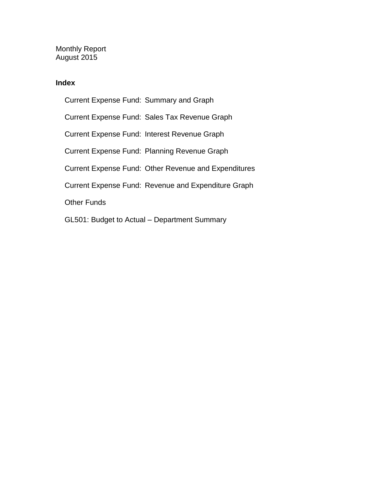Monthly Report August 2015

### **Index**

Current Expense Fund: Summary and Graph Current Expense Fund: Sales Tax Revenue Graph Current Expense Fund: Interest Revenue Graph Current Expense Fund: Planning Revenue Graph Current Expense Fund: Other Revenue and Expenditures Current Expense Fund: Revenue and Expenditure Graph Other Funds GL501: Budget to Actual – Department Summary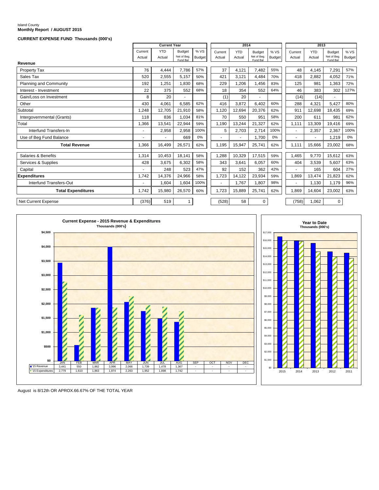### Island County **Monthly Report / AUGUST 2015**

#### **CURRENT EXPENSE FUND Thousands (000's)**

|                               | <b>Current Year</b> |            |                         |        | 2014    |            |                         | 2013          |         |            |                         |        |
|-------------------------------|---------------------|------------|-------------------------|--------|---------|------------|-------------------------|---------------|---------|------------|-------------------------|--------|
|                               | Current             | <b>YTD</b> | <b>Budget</b>           | %VS    | Current | <b>YTD</b> | <b>Budget</b>           | %VS           | Current | <b>YTD</b> | <b>Budget</b>           | % VS   |
|                               | Actual              | Actual     | Net of Beg.<br>Fund Bal | Budget | Actual  | Actual     | Net of Beg.<br>Fund Bal | <b>Budget</b> | Actual  | Actual     | Net of Beg.<br>Fund Bal | Budget |
| Revenue                       |                     |            |                         |        |         |            |                         |               |         |            |                         |        |
| Property Tax                  | 76                  | 4,444      | 7,786                   | 57%    | 37      | 4,121      | 7,482                   | 55%           | 48      | 4,145      | 7,291                   | 57%    |
| Sales Tax                     | 520                 | 2.555      | 5.157                   | 50%    | 421     | 3.121      | 4.484                   | 70%           | 418     | 2,882      | 4.052                   | 71%    |
| <b>Planning and Community</b> | 192                 | 1,251      | 1,830                   | 68%    | 229     | 1,206      | 1.456                   | 83%           | 125     | 981        | 1,363                   | 72%    |
| Interest - Investment         | 22                  | 375        | 552                     | 68%    | 18      | 354        | 552                     | 64%           | 46      | 383        | 302                     | 127%   |
| Gain/Loss on Investment       | 8                   | 20         |                         |        | (1)     | 20         |                         |               | (14)    | (14)       |                         |        |
| Other                         | 430                 | 4,061      | 6.585                   | 62%    | 416     | 3,872      | 6.402                   | 60%           | 288     | 4,321      | 5,427                   | 80%    |
| Subtotal                      | 1,248               | 12.705     | 21,910                  | 58%    | 1.120   | 12,694     | 20,376                  | 62%           | 911     | 12,698     | 18,435                  | 69%    |
| Intergovernmental (Grants)    | 118                 | 836        | 1,034                   | 81%    | 70      | 550        | 951                     | 58%           | 200     | 611        | 981                     | 62%    |
| Total                         | 1.366               | 13,541     | 22,944                  | 59%    | 1.190   | 13,244     | 21.327                  | 62%           | 1.111   | 13.309     | 19.416                  | 69%    |
| Interfund Transfers-In        |                     | 2,958      | 2,958                   | 100%   | 5       | 2,703      | 2,714                   | 100%          |         | 2,357      | 2,367                   | 100%   |
| Use of Beg Fund Balance       |                     |            | 669                     | 0%     |         |            | 1.700                   | 0%            |         | ۰          | 1,219                   | 0%     |
| <b>Total Revenue</b>          | 1.366               | 16.499     | 26,571                  | 62%    | 1,195   | 15,947     | 25,741                  | 62%           | 1,111   | 15,666     | 23,002                  | 68%    |
| Salaries & Benefits           | 1,314               | 10.453     | 18.141                  | 58%    | 1,288   | 10,329     | 17,515                  | 59%           | 1,465   | 9.770      | 15,612                  | 63%    |
| Services & Supplies           | 428                 | 3,675      | 6,302                   | 58%    | 343     | 3,641      | 6,057                   | 60%           | 404     | 3,539      | 5,607                   | 63%    |
| Capital                       |                     | 248        | 523                     | 47%    | 92      | 152        | 362                     | 42%           |         | 165        | 604                     | 27%    |
| <b>Expenditures</b>           | 1,742               | 14,376     | 24,966                  | 58%    | 1,723   | 14,122     | 23,934                  | 59%           | 1,869   | 13,474     | 21,823                  | 62%    |
| Interfund Transfers-Out       | ٠                   | 1,604      | 1,604                   | 100%   | $\sim$  | 1.767      | 1,807                   | 98%           |         | 1.130      | 1,179                   | 96%    |
| <b>Total Expenditures</b>     | 1,742               | 15.980     | 26,570                  | 60%    | 1.723   | 15.889     | 25,741                  | 62%           | 1.869   | 14,604     | 23,002                  | 63%    |
| Net Current Expense           | (376)               | 519        | 1                       |        | (528)   | 58         | $\mathbf 0$             |               | (758)   | 1,062      | 0                       |        |





August is 8/12th OR APROX.66.67% OF THE TOTAL YEAR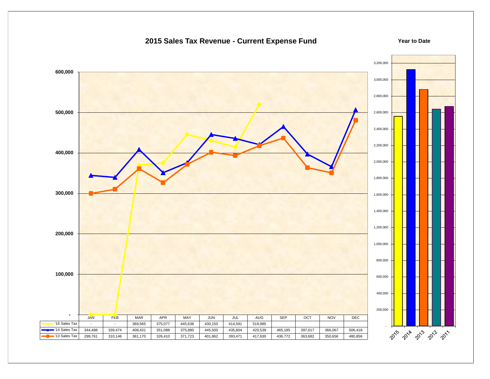### **2015 Sales Tax Revenue - Current Expense Fund**



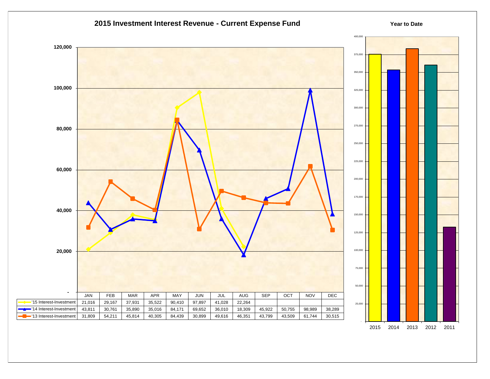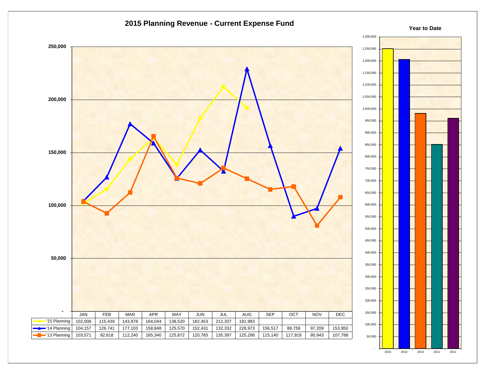

2015 2014 2013 2012 2011

-

### **2015 Planning Revenue - Current Expense Fund**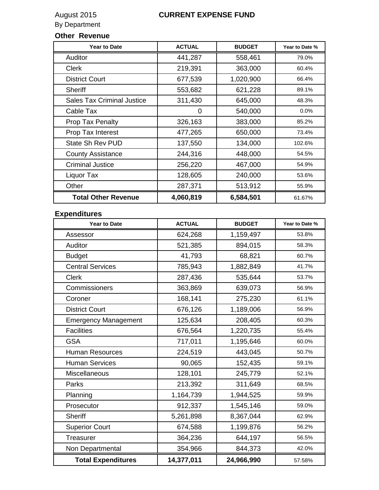# **Other Revenue**

| <b>Year to Date</b>               | <b>ACTUAL</b> | <b>BUDGET</b> | Year to Date % |
|-----------------------------------|---------------|---------------|----------------|
| Auditor                           | 441,287       | 558,461       | 79.0%          |
| <b>Clerk</b>                      | 219,391       | 363,000       | 60.4%          |
| <b>District Court</b>             | 677,539       | 1,020,900     | 66.4%          |
| Sheriff                           | 553,682       | 621,228       | 89.1%          |
| <b>Sales Tax Criminal Justice</b> | 311,430       | 645,000       | 48.3%          |
| Cable Tax                         | 0             | 540,000       | 0.0%           |
| <b>Prop Tax Penalty</b>           | 326,163       | 383,000       | 85.2%          |
| Prop Tax Interest                 | 477,265       | 650,000       | 73.4%          |
| <b>State Sh Rev PUD</b>           | 137,550       | 134,000       | 102.6%         |
| <b>County Assistance</b>          | 244,316       | 448,000       | 54.5%          |
| <b>Criminal Justice</b>           | 256,220       | 467,000       | 54.9%          |
| Liquor Tax                        | 128,605       | 240,000       | 53.6%          |
| Other                             | 287,371       | 513,912       | 55.9%          |
| <b>Total Other Revenue</b>        | 4,060,819     | 6,584,501     | 61.67%         |
|                                   |               |               |                |

### **Expenditures**

| <b>Year to Date</b>         | <b>ACTUAL</b> | <b>BUDGET</b> | Year to Date % |
|-----------------------------|---------------|---------------|----------------|
| Assessor                    | 624,268       | 1,159,497     | 53.8%          |
| Auditor                     | 521,385       | 894,015       | 58.3%          |
| <b>Budget</b>               | 41,793        | 68,821        | 60.7%          |
| <b>Central Services</b>     | 785,943       | 1,882,849     | 41.7%          |
| <b>Clerk</b>                | 287,436       | 535,644       | 53.7%          |
| Commissioners               | 363,869       | 639,073       | 56.9%          |
| Coroner                     | 168,141       | 275,230       | 61.1%          |
| <b>District Court</b>       | 676,126       | 1,189,006     | 56.9%          |
| <b>Emergency Management</b> | 125,634       | 208,405       | 60.3%          |
| <b>Facilities</b>           | 676,564       | 1,220,735     | 55.4%          |
| <b>GSA</b>                  | 717,011       | 1,195,646     | 60.0%          |
| <b>Human Resources</b>      | 224,519       | 443,045       | 50.7%          |
| <b>Human Services</b>       | 90,065        | 152,435       | 59.1%          |
| Miscellaneous               | 128,101       | 245,779       | 52.1%          |
| Parks                       | 213,392       | 311,649       | 68.5%          |
| Planning                    | 1,164,739     | 1,944,525     | 59.9%          |
| Prosecutor                  | 912,337       | 1,545,146     | 59.0%          |
| Sheriff                     | 5,261,898     | 8,367,044     | 62.9%          |
| <b>Superior Court</b>       | 674,588       | 1,199,876     | 56.2%          |
| <b>Treasurer</b>            | 364,236       | 644,197       | 56.5%          |
| Non Departmental            | 354,966       | 844,373       | 42.0%          |
| <b>Total Expenditures</b>   | 14,377,011    | 24,966,990    | 57.58%         |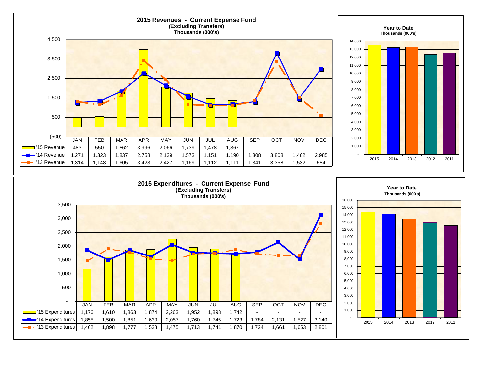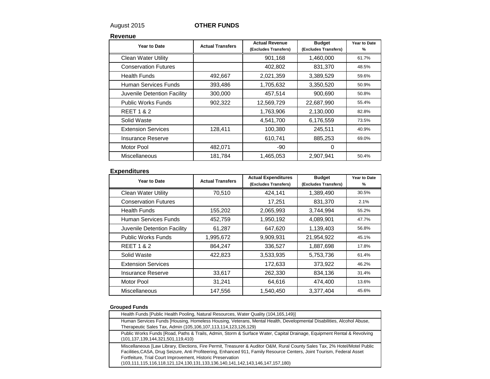### August 2015 **OTHER FUNDS**

#### **Revenue**

| Year to Date                | <b>Actual Transfers</b> | <b>Actual Revenue</b><br>(Excludes Transfers) | <b>Budget</b><br>(Excludes Transfers) | Year to Date<br>% |
|-----------------------------|-------------------------|-----------------------------------------------|---------------------------------------|-------------------|
| Clean Water Utility         |                         | 901,168                                       | 1,460,000                             | 61.7%             |
| <b>Conservation Futures</b> |                         | 402,802                                       | 831,370                               | 48.5%             |
| Health Funds                | 492,667                 | 2,021,359                                     | 3,389,529                             | 59.6%             |
| Human Services Funds        | 393,486                 | 1,705,632                                     | 3,350,520                             | 50.9%             |
| Juvenile Detention Facility | 300,000                 | 457,514                                       | 900,690                               | 50.8%             |
| <b>Public Works Funds</b>   | 902,322                 | 12,569,729                                    | 22,687,990                            | 55.4%             |
| <b>REET 1 &amp; 2</b>       |                         | 1,763,906                                     | 2,130,000                             | 82.8%             |
| Solid Waste                 |                         | 4,541,700                                     | 6,176,559                             | 73.5%             |
| <b>Extension Services</b>   | 128,411                 | 100,380                                       | 245,511                               | 40.9%             |
| Insurance Reserve           |                         | 610,741                                       | 885,253                               | 69.0%             |
| Motor Pool                  | 482,071                 | $-90$                                         | 0                                     |                   |
| Miscellaneous               | 181,784                 | 1,465,053                                     | 2,907,941                             | 50.4%             |

### **Expenditures**

| Year to Date                | <b>Actual Transfers</b> | <b>Actual Expenditures</b><br>(Excludes Transfers) | <b>Budget</b><br>(Excludes Transfers) | Year to Date<br>% |
|-----------------------------|-------------------------|----------------------------------------------------|---------------------------------------|-------------------|
| <b>Clean Water Utility</b>  | 70,510                  | 424,141                                            | 1,389,490                             | 30.5%             |
| <b>Conservation Futures</b> |                         | 17,251                                             | 831,370                               | 2.1%              |
| <b>Health Funds</b>         | 155,202                 | 2,065,993                                          | 3,744,994                             | 55.2%             |
| Human Services Funds        | 452,759                 | 1,950,192                                          | 4,089,901                             | 47.7%             |
| Juvenile Detention Facility | 61,287                  | 647,620                                            | 1,139,403                             | 56.8%             |
| <b>Public Works Funds</b>   | 1,995,672               | 9,909,931                                          | 21,954,922                            | 45.1%             |
| <b>REET 1 &amp; 2</b>       | 864,247                 | 336,527                                            | 1,887,698                             | 17.8%             |
| Solid Waste                 | 422,823                 | 3,533,935                                          | 5,753,736                             | 61.4%             |
| <b>Extension Services</b>   |                         | 172,633                                            | 373,922                               | 46.2%             |
| Insurance Reserve           | 33,617                  | 262,330                                            | 834,136                               | 31.4%             |
| Motor Pool                  | 31,241                  | 64,616                                             | 474,400                               | 13.6%             |
| <b>Miscellaneous</b>        | 147,556                 | 1,540,450                                          | 3,377,404                             | 45.6%             |

#### **Grouped Funds**

| Health Funds [Public Health Pooling, Natural Resources, Water Quality (104,165,149)]                                                                                                                                                                                                                                                                                                                 |
|------------------------------------------------------------------------------------------------------------------------------------------------------------------------------------------------------------------------------------------------------------------------------------------------------------------------------------------------------------------------------------------------------|
| Human Services Funds [Housing, Homeless Housing, Veterans, Mental Health, Developmental Disabilities, Alcohol Abuse,<br>Therapeutic Sales Tax, Admin (105,106,107,113,114,123,126,129)                                                                                                                                                                                                               |
| Public Works Funds [Road, Paths & Trails, Admin, Storm & Surface Water, Capital Drainage, Equipment Rental & Revolving<br>(101,137,139,144,321,501,119,410)                                                                                                                                                                                                                                          |
| Miscellaneous [Law Library, Elections, Fire Permit, Treasurer & Auditor O&M, Rural County Sales Tax, 2% Hotel/Motel Public<br>Facilities, CASA, Drug Seizure, Anti Profiteering, Enhanced 911, Family Resource Centers, Joint Tourism, Federal Asset<br>Fortfeiture, Trial Court Improvement, Historic Preservation<br>(103,111,115,116,118,121,124,130,131,133,136,140,141,142,143,146,147,157,180) |
|                                                                                                                                                                                                                                                                                                                                                                                                      |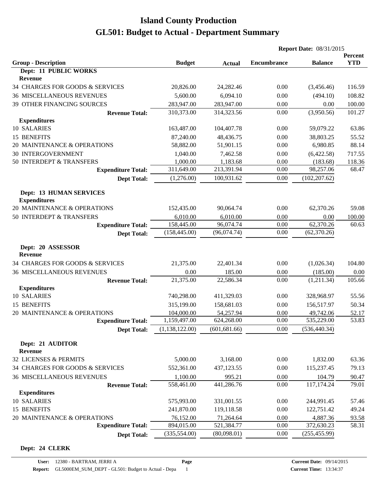|                                                       |                |               | <b>Report Date: 08/31/2015</b> |                |                       |
|-------------------------------------------------------|----------------|---------------|--------------------------------|----------------|-----------------------|
| <b>Group - Description</b>                            | <b>Budget</b>  | <b>Actual</b> | <b>Encumbrance</b>             | <b>Balance</b> | Percent<br><b>YTD</b> |
| Dept: 11 PUBLIC WORKS                                 |                |               |                                |                |                       |
| Revenue                                               |                |               |                                |                |                       |
| 34 CHARGES FOR GOODS & SERVICES                       | 20,826.00      | 24,282.46     | 0.00                           | (3,456.46)     | 116.59                |
| <b>36 MISCELLANEOUS REVENUES</b>                      | 5,600.00       | 6,094.10      | 0.00                           | (494.10)       | 108.82                |
| 39 OTHER FINANCING SOURCES                            | 283,947.00     | 283,947.00    | 0.00                           | 0.00           | 100.00                |
| <b>Revenue Total:</b>                                 | 310,373.00     | 314,323.56    | 0.00                           | (3,950.56)     | 101.27                |
| <b>Expenditures</b>                                   |                |               |                                |                |                       |
| 10 SALARIES                                           | 163,487.00     | 104,407.78    | 0.00                           | 59,079.22      | 63.86                 |
| 15 BENEFITS                                           | 87,240.00      | 48,436.75     | 0.00                           | 38,803.25      | 55.52                 |
| 20 MAINTENANCE & OPERATIONS                           | 58,882.00      | 51,901.15     | 0.00                           | 6,980.85       | 88.14                 |
| <b>30 INTERGOVERNMENT</b>                             | 1,040.00       | 7,462.58      | 0.00                           | (6,422.58)     | 717.55                |
| 50 INTERDEPT & TRANSFERS                              | 1,000.00       | 1,183.68      | 0.00                           | (183.68)       | 118.36                |
| <b>Expenditure Total:</b>                             | 311,649.00     | 213,391.94    | 0.00                           | 98,257.06      | 68.47                 |
| <b>Dept Total:</b>                                    | (1,276.00)     | 100,931.62    | 0.00                           | (102, 207.62)  |                       |
| <b>Dept: 13 HUMAN SERVICES</b><br><b>Expenditures</b> |                |               |                                |                |                       |
| 20 MAINTENANCE & OPERATIONS                           | 152,435.00     | 90,064.74     | 0.00                           | 62,370.26      | 59.08                 |
| 50 INTERDEPT & TRANSFERS                              | 6,010.00       | 6,010.00      | 0.00                           | 0.00           | 100.00                |
| <b>Expenditure Total:</b>                             | 158,445.00     | 96,074.74     | 0.00                           | 62,370.26      | 60.63                 |
| <b>Dept Total:</b>                                    | (158, 445.00)  | (96,074.74)   | 0.00                           | (62, 370.26)   |                       |
| Dept: 20 ASSESSOR<br><b>Revenue</b>                   |                |               |                                |                |                       |
| 34 CHARGES FOR GOODS & SERVICES                       | 21,375.00      | 22,401.34     | 0.00                           | (1,026.34)     | 104.80                |
| <b>36 MISCELLANEOUS REVENUES</b>                      | 0.00           | 185.00        | 0.00                           | (185.00)       | 0.00                  |
| <b>Revenue Total:</b>                                 | 21,375.00      | 22,586.34     | 0.00                           | (1,211.34)     | 105.66                |
| <b>Expenditures</b>                                   |                |               |                                |                |                       |
| 10 SALARIES                                           | 740,298.00     | 411,329.03    | 0.00                           | 328,968.97     | 55.56                 |
| 15 BENEFITS                                           | 315,199.00     | 158,681.03    | 0.00                           | 156,517.97     | 50.34                 |
| 20 MAINTENANCE & OPERATIONS                           | 104,000.00     | 54,257.94     | 0.00                           | 49,742.06      | 52.17                 |
| <b>Expenditure Total:</b>                             | 1,159,497.00   | 624,268.00    | 0.00                           | 535,229.00     | 53.83                 |
| <b>Dept Total:</b>                                    | (1,138,122.00) | (601, 681.66) | 0.00                           | (536, 440.34)  |                       |
| Dept: 21 AUDITOR<br>Revenue                           |                |               |                                |                |                       |
| 32 LICENSES & PERMITS                                 | 5,000.00       | 3,168.00      | 0.00                           | 1,832.00       | 63.36                 |
| 34 CHARGES FOR GOODS & SERVICES                       | 552,361.00     | 437,123.55    | 0.00                           | 115,237.45     | 79.13                 |
| 36 MISCELLANEOUS REVENUES                             | 1,100.00       | 995.21        | 0.00                           | 104.79         | 90.47                 |
| <b>Revenue Total:</b>                                 | 558,461.00     | 441,286.76    | 0.00                           | 117,174.24     | 79.01                 |
| <b>Expenditures</b>                                   |                |               |                                |                |                       |
| 10 SALARIES                                           | 575,993.00     | 331,001.55    | 0.00                           | 244,991.45     | 57.46                 |
| 15 BENEFITS                                           | 241,870.00     | 119,118.58    | 0.00                           | 122,751.42     | 49.24                 |
| 20 MAINTENANCE & OPERATIONS                           | 76,152.00      | 71,264.64     | 0.00                           | 4,887.36       | 93.58                 |
| <b>Expenditure Total:</b>                             | 894,015.00     | 521,384.77    | 0.00                           | 372,630.23     | 58.31                 |
| <b>Dept Total:</b>                                    | (335, 554.00)  | (80,098.01)   | 0.00                           | (255, 455.99)  |                       |

#### **Dept: 24 CLERK**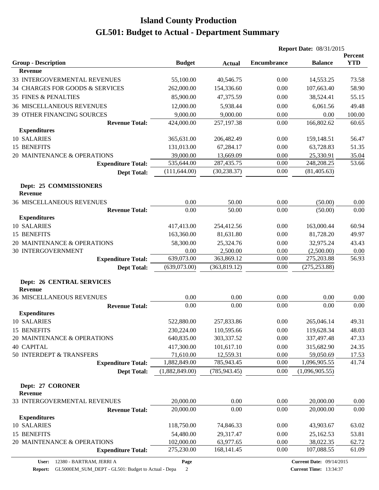|                                                    |                |               | <b>Report Date: 08/31/2015</b> |                |                       |
|----------------------------------------------------|----------------|---------------|--------------------------------|----------------|-----------------------|
| <b>Group - Description</b>                         | <b>Budget</b>  | <b>Actual</b> | <b>Encumbrance</b>             | <b>Balance</b> | Percent<br><b>YTD</b> |
| <b>Revenue</b>                                     |                |               |                                |                |                       |
| 33 INTERGOVERMENTAL REVENUES                       | 55,100.00      | 40,546.75     | 0.00                           | 14,553.25      | 73.58                 |
| 34 CHARGES FOR GOODS & SERVICES                    | 262,000.00     | 154,336.60    | 0.00                           | 107,663.40     | 58.90                 |
| <b>35 FINES &amp; PENALTIES</b>                    | 85,900.00      | 47,375.59     | 0.00                           | 38,524.41      | 55.15                 |
| <b>36 MISCELLANEOUS REVENUES</b>                   | 12,000.00      | 5,938.44      | 0.00                           | 6,061.56       | 49.48                 |
| 39 OTHER FINANCING SOURCES                         | 9,000.00       | 9,000.00      | 0.00                           | 0.00           | 100.00                |
| <b>Revenue Total:</b>                              | 424,000.00     | 257,197.38    | 0.00                           | 166,802.62     | 60.65                 |
| <b>Expenditures</b>                                |                |               |                                |                |                       |
| 10 SALARIES                                        | 365,631.00     | 206,482.49    | 0.00                           | 159,148.51     | 56.47                 |
| 15 BENEFITS                                        | 131,013.00     | 67,284.17     | 0.00                           | 63,728.83      | 51.35                 |
| 20 MAINTENANCE & OPERATIONS                        | 39,000.00      | 13,669.09     | 0.00                           | 25,330.91      | 35.04                 |
| <b>Expenditure Total:</b>                          | 535,644.00     | 287,435.75    | 0.00                           | 248,208.25     | 53.66                 |
| <b>Dept Total:</b>                                 | (111, 644.00)  | (30, 238.37)  | 0.00                           | (81, 405.63)   |                       |
| Dept: 25 COMMISSIONERS<br><b>Revenue</b>           |                |               |                                |                |                       |
| <b>36 MISCELLANEOUS REVENUES</b>                   | 0.00           | 50.00         | 0.00                           | (50.00)        | 0.00                  |
| <b>Revenue Total:</b>                              | 0.00           | 50.00         | 0.00                           | (50.00)        | 0.00                  |
| <b>Expenditures</b>                                |                |               |                                |                |                       |
| 10 SALARIES                                        | 417,413.00     | 254,412.56    | 0.00                           | 163,000.44     | 60.94                 |
| 15 BENEFITS                                        | 163,360.00     | 81,631.80     | 0.00                           | 81,728.20      | 49.97                 |
| 20 MAINTENANCE & OPERATIONS                        | 58,300.00      | 25,324.76     | 0.00                           | 32,975.24      | 43.43                 |
| 30 INTERGOVERNMENT                                 | 0.00           | 2,500.00      | 0.00                           | (2,500.00)     | 0.00                  |
| <b>Expenditure Total:</b>                          | 639,073.00     | 363,869.12    | 0.00                           | 275,203.88     | 56.93                 |
| <b>Dept Total:</b>                                 | (639,073.00)   | (363, 819.12) | 0.00                           | (275, 253.88)  |                       |
| <b>Dept: 26 CENTRAL SERVICES</b><br><b>Revenue</b> |                |               |                                |                |                       |
| <b>36 MISCELLANEOUS REVENUES</b>                   | 0.00           | 0.00          | 0.00                           | 0.00           | 0.00                  |
| <b>Revenue Total:</b>                              | 0.00           | 0.00          | 0.00                           | 0.00           | 0.00                  |
| <b>Expenditures</b>                                |                |               |                                |                |                       |
| 10 SALARIES                                        | 522,880.00     | 257,833.86    | 0.00                           | 265,046.14     | 49.31                 |
| 15 BENEFITS                                        | 230,224.00     | 110,595.66    | 0.00                           | 119,628.34     | 48.03                 |
| 20 MAINTENANCE & OPERATIONS                        | 640,835.00     | 303,337.52    | 0.00                           | 337,497.48     | 47.33                 |
| <b>40 CAPITAL</b>                                  | 417,300.00     | 101,617.10    | 0.00                           | 315,682.90     | 24.35                 |
| 50 INTERDEPT & TRANSFERS                           | 71,610.00      | 12,559.31     | 0.00                           | 59,050.69      | 17.53                 |
| <b>Expenditure Total:</b>                          | 1,882,849.00   | 785,943.45    | 0.00                           | 1,096,905.55   | 41.74                 |
| <b>Dept Total:</b>                                 | (1,882,849.00) | (785, 943.45) | 0.00                           | (1,096,905.55) |                       |
| Dept: 27 CORONER<br><b>Revenue</b>                 |                |               |                                |                |                       |
| 33 INTERGOVERMENTAL REVENUES                       | 20,000.00      | 0.00          | 0.00                           | 20,000.00      | 0.00                  |
| <b>Revenue Total:</b>                              | 20,000.00      | 0.00          | 0.00                           | 20,000.00      | 0.00                  |
| <b>Expenditures</b>                                |                |               |                                |                |                       |
| 10 SALARIES                                        | 118,750.00     | 74,846.33     | 0.00                           | 43,903.67      | 63.02                 |
| 15 BENEFITS                                        | 54,480.00      | 29,317.47     | 0.00                           | 25,162.53      | 53.81                 |
| 20 MAINTENANCE & OPERATIONS                        | 102,000.00     | 63,977.65     | 0.00                           | 38,022.35      | 62.72                 |
| <b>Expenditure Total:</b>                          | 275,230.00     | 168, 141. 45  | 0.00                           | 107,088.55     | 61.09                 |

**Page**

**Report:** GL5000EM\_SUM\_DEPT - GL501: Budget to Actual - Depa 2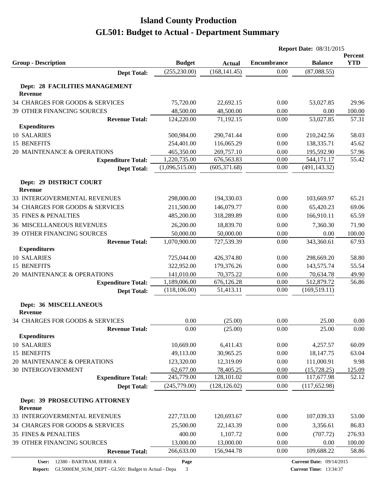|                                           |                |               | <b>Report Date: 08/31/2015</b> |                |            |  |
|-------------------------------------------|----------------|---------------|--------------------------------|----------------|------------|--|
|                                           |                |               |                                |                | Percent    |  |
| <b>Group - Description</b>                | <b>Budget</b>  | <b>Actual</b> | <b>Encumbrance</b>             | <b>Balance</b> | <b>YTD</b> |  |
| <b>Dept Total:</b>                        | (255, 230.00)  | (168, 141.45) | 0.00                           | (87,088.55)    |            |  |
| Dept: 28 FACILITIES MANAGEMENT            |                |               |                                |                |            |  |
| <b>Revenue</b>                            |                |               |                                |                |            |  |
| 34 CHARGES FOR GOODS & SERVICES           | 75,720.00      | 22,692.15     | 0.00                           | 53,027.85      | 29.96      |  |
| 39 OTHER FINANCING SOURCES                | 48,500.00      | 48,500.00     | 0.00                           | 0.00           | 100.00     |  |
| <b>Revenue Total:</b>                     | 124,220.00     | 71,192.15     | 0.00                           | 53,027.85      | 57.31      |  |
| <b>Expenditures</b>                       |                |               |                                |                |            |  |
| 10 SALARIES                               | 500,984.00     | 290,741.44    | 0.00                           | 210,242.56     | 58.03      |  |
| 15 BENEFITS                               | 254,401.00     | 116,065.29    | 0.00                           | 138,335.71     | 45.62      |  |
| 20 MAINTENANCE & OPERATIONS               | 465,350.00     | 269,757.10    | 0.00                           | 195,592.90     | 57.96      |  |
| <b>Expenditure Total:</b>                 | 1,220,735.00   | 676,563.83    | 0.00                           | 544,171.17     | 55.42      |  |
| <b>Dept Total:</b>                        | (1,096,515.00) | (605, 371.68) | 0.00                           | (491, 143.32)  |            |  |
|                                           |                |               |                                |                |            |  |
| Dept: 29 DISTRICT COURT<br><b>Revenue</b> |                |               |                                |                |            |  |
| 33 INTERGOVERMENTAL REVENUES              | 298,000.00     | 194,330.03    | 0.00                           | 103,669.97     | 65.21      |  |
| 34 CHARGES FOR GOODS & SERVICES           | 211,500.00     | 146,079.77    | 0.00                           | 65,420.23      | 69.06      |  |
| <b>35 FINES &amp; PENALTIES</b>           | 485,200.00     | 318,289.89    | 0.00                           | 166,910.11     | 65.59      |  |
| <b>36 MISCELLANEOUS REVENUES</b>          | 26,200.00      | 18,839.70     | 0.00                           | 7,360.30       | 71.90      |  |
| 39 OTHER FINANCING SOURCES                | 50,000.00      | 50,000.00     | 0.00                           | 0.00           | 100.00     |  |
| <b>Revenue Total:</b>                     | 1,070,900.00   | 727,539.39    | 0.00                           | 343,360.61     | 67.93      |  |
| <b>Expenditures</b>                       |                |               |                                |                |            |  |
| 10 SALARIES                               | 725,044.00     | 426,374.80    | 0.00                           | 298,669.20     | 58.80      |  |
| 15 BENEFITS                               | 322,952.00     | 179,376.26    | 0.00                           | 143,575.74     | 55.54      |  |
| 20 MAINTENANCE & OPERATIONS               | 141,010.00     | 70,375.22     | 0.00                           | 70,634.78      | 49.90      |  |
| <b>Expenditure Total:</b>                 | 1,189,006.00   | 676,126.28    | 0.00                           | 512,879.72     | 56.86      |  |
| <b>Dept Total:</b>                        | (118, 106.00)  | 51,413.11     | 0.00                           | (169, 519.11)  |            |  |
|                                           |                |               |                                |                |            |  |
| Dept: 36 MISCELLANEOUS                    |                |               |                                |                |            |  |
| <b>Revenue</b>                            |                |               |                                |                |            |  |
| 34 CHARGES FOR GOODS & SERVICES           | 0.00           | (25.00)       | 0.00                           | 25.00          | 0.00       |  |
| <b>Revenue Total:</b>                     | 0.00           | (25.00)       | 0.00                           | 25.00          | 0.00       |  |
| <b>Expenditures</b><br>10 SALARIES        | 10,669.00      | 6,411.43      | 0.00                           | 4,257.57       | 60.09      |  |
| 15 BENEFITS                               | 49,113.00      | 30,965.25     | 0.00                           | 18,147.75      | 63.04      |  |
| 20 MAINTENANCE & OPERATIONS               | 123,320.00     | 12,319.09     | 0.00                           | 111,000.91     | 9.98       |  |
| <b>30 INTERGOVERNMENT</b>                 | 62,677.00      | 78,405.25     | 0.00                           | (15,728.25)    | 125.09     |  |
| <b>Expenditure Total:</b>                 | 245,779.00     | 128,101.02    | 0.00                           | 117,677.98     | 52.12      |  |
| <b>Dept Total:</b>                        | (245,779.00)   | (128, 126.02) | 0.00                           | (117, 652.98)  |            |  |
|                                           |                |               |                                |                |            |  |
| Dept: 39 PROSECUTING ATTORNEY<br>Revenue  |                |               |                                |                |            |  |
| 33 INTERGOVERMENTAL REVENUES              | 227,733.00     | 120,693.67    | 0.00                           | 107,039.33     | 53.00      |  |
| 34 CHARGES FOR GOODS & SERVICES           | 25,500.00      | 22,143.39     | 0.00                           | 3,356.61       | 86.83      |  |
| <b>35 FINES &amp; PENALTIES</b>           | 400.00         | 1,107.72      | 0.00                           | (707.72)       | 276.93     |  |
| 39 OTHER FINANCING SOURCES                | 13,000.00      | 13,000.00     | 0.00                           | 0.00           | 100.00     |  |
| <b>Revenue Total:</b>                     | 266,633.00     | 156,944.78    | 0.00                           | 109,688.22     | 58.86      |  |
|                                           |                |               |                                |                |            |  |

**Page**

**Report:** GL5000EM\_SUM\_DEPT - GL501: Budget to Actual - Depa 3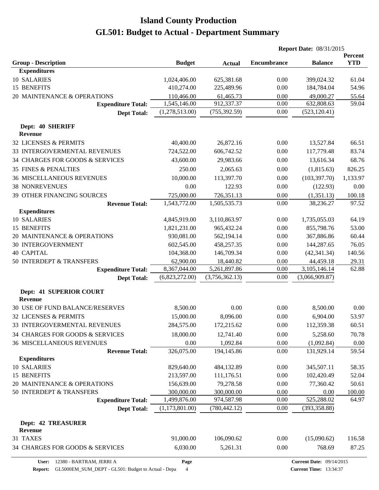|                                           |                |                | <b>Report Date: 08/31/2015</b> |                |                              |
|-------------------------------------------|----------------|----------------|--------------------------------|----------------|------------------------------|
| <b>Group - Description</b>                | <b>Budget</b>  | <b>Actual</b>  | <b>Encumbrance</b>             | <b>Balance</b> | <b>Percent</b><br><b>YTD</b> |
| <b>Expenditures</b>                       |                |                |                                |                |                              |
| 10 SALARIES                               | 1,024,406.00   | 625,381.68     | 0.00                           | 399,024.32     | 61.04                        |
| 15 BENEFITS                               | 410,274.00     | 225,489.96     | 0.00                           | 184,784.04     | 54.96                        |
| 20 MAINTENANCE & OPERATIONS               | 110,466.00     | 61,465.73      | 0.00                           | 49,000.27      | 55.64                        |
| <b>Expenditure Total:</b>                 | 1,545,146.00   | 912,337.37     | 0.00                           | 632,808.63     | 59.04                        |
| <b>Dept Total:</b>                        | (1,278,513.00) | (755, 392.59)  | 0.00                           | (523, 120.41)  |                              |
| Dept: 40 SHERIFF<br><b>Revenue</b>        |                |                |                                |                |                              |
| 32 LICENSES & PERMITS                     | 40,400.00      | 26,872.16      | 0.00                           | 13,527.84      | 66.51                        |
| 33 INTERGOVERMENTAL REVENUES              | 724,522.00     | 606,742.52     | 0.00                           | 117,779.48     | 83.74                        |
| 34 CHARGES FOR GOODS & SERVICES           | 43,600.00      | 29,983.66      | 0.00                           | 13,616.34      | 68.76                        |
| <b>35 FINES &amp; PENALTIES</b>           | 250.00         | 2,065.63       | 0.00                           | (1,815.63)     | 826.25                       |
| <b>36 MISCELLANEOUS REVENUES</b>          | 10,000.00      | 113,397.70     | 0.00                           | (103, 397.70)  | 1,133.97                     |
| <b>38 NONREVENUES</b>                     | 0.00           | 122.93         | 0.00                           | (122.93)       | 0.00                         |
| 39 OTHER FINANCING SOURCES                | 725,000.00     | 726,351.13     | 0.00                           | (1,351.13)     | 100.18                       |
| <b>Revenue Total:</b>                     | 1,543,772.00   | 1,505,535.73   | 0.00                           | 38,236.27      | 97.52                        |
| <b>Expenditures</b>                       |                |                |                                |                |                              |
| 10 SALARIES                               | 4,845,919.00   | 3,110,863.97   | 0.00                           | 1,735,055.03   | 64.19                        |
| 15 BENEFITS                               | 1,821,231.00   | 965,432.24     | 0.00                           | 855,798.76     | 53.00                        |
| 20 MAINTENANCE & OPERATIONS               | 930,081.00     | 562,194.14     | 0.00                           | 367,886.86     | 60.44                        |
| <b>30 INTERGOVERNMENT</b>                 | 602,545.00     | 458,257.35     | 0.00                           | 144,287.65     | 76.05                        |
| <b>40 CAPITAL</b>                         | 104,368.00     | 146,709.34     | 0.00                           | (42, 341.34)   | 140.56                       |
| 50 INTERDEPT & TRANSFERS                  | 62,900.00      | 18,440.82      | 0.00                           | 44,459.18      | 29.31                        |
| <b>Expenditure Total:</b>                 | 8,367,044.00   | 5,261,897.86   | 0.00                           | 3,105,146.14   | 62.88                        |
| <b>Dept Total:</b>                        | (6,823,272.00) | (3,756,362.13) | 0.00                           | (3,066,909.87) |                              |
| Dept: 41 SUPERIOR COURT<br><b>Revenue</b> |                |                |                                |                |                              |
| <b>30 USE OF FUND BALANCE/RESERVES</b>    | 8,500.00       | 0.00           | 0.00                           | 8,500.00       | 0.00                         |
| 32 LICENSES & PERMITS                     | 15,000.00      | 8,096.00       | 0.00                           | 6,904.00       | 53.97                        |
| 33 INTERGOVERMENTAL REVENUES              | 284,575.00     | 172,215.62     | 0.00                           | 112,359.38     | 60.51                        |
| 34 CHARGES FOR GOODS & SERVICES           | 18,000.00      | 12,741.40      | 0.00                           | 5,258.60       | 70.78                        |
| <b>36 MISCELLANEOUS REVENUES</b>          | 0.00           | 1,092.84       | 0.00                           | (1,092.84)     | 0.00                         |
| <b>Revenue Total:</b>                     | 326,075.00     | 194,145.86     | 0.00                           | 131,929.14     | 59.54                        |
| <b>Expenditures</b>                       |                |                |                                |                |                              |
| 10 SALARIES                               | 829,640.00     | 484,132.89     | 0.00                           | 345,507.11     | 58.35                        |
| 15 BENEFITS                               | 213,597.00     | 111,176.51     | 0.00                           | 102,420.49     | 52.04                        |
| 20 MAINTENANCE & OPERATIONS               | 156,639.00     | 79,278.58      | 0.00                           | 77,360.42      | 50.61                        |
| 50 INTERDEPT & TRANSFERS                  | 300,000.00     | 300,000.00     | 0.00                           | 0.00           | 100.00                       |
| <b>Expenditure Total:</b>                 | 1,499,876.00   | 974,587.98     | 0.00                           | 525,288.02     | 64.97                        |
| <b>Dept Total:</b>                        | (1,173,801.00) | (780, 442.12)  | 0.00                           | (393, 358.88)  |                              |
| <b>Dept: 42 TREASURER</b><br>Revenue      |                |                |                                |                |                              |
| 31 TAXES                                  | 91,000.00      | 106,090.62     | 0.00                           | (15,090.62)    | 116.58                       |
| 34 CHARGES FOR GOODS & SERVICES           | 6,030.00       | 5,261.31       | 0.00                           | 768.69         | 87.25                        |

**Report:** GL5000EM\_SUM\_DEPT - GL501: Budget to Actual - Depa 4

**Page**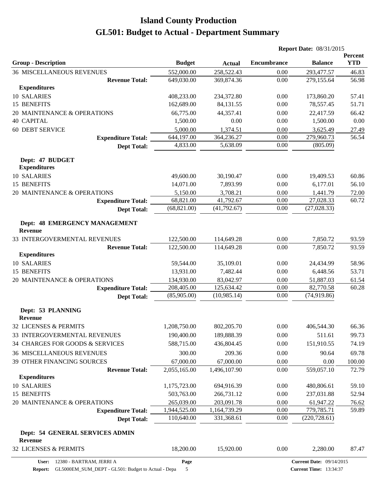|                                                   |               |               | <b>Report Date: 08/31/2015</b> |                                 |                       |  |
|---------------------------------------------------|---------------|---------------|--------------------------------|---------------------------------|-----------------------|--|
| <b>Group - Description</b>                        | <b>Budget</b> | <b>Actual</b> | <b>Encumbrance</b>             | <b>Balance</b>                  | Percent<br><b>YTD</b> |  |
| <b>36 MISCELLANEOUS REVENUES</b>                  | 552,000.00    | 258,522.43    | 0.00                           | 293,477.57                      | 46.83                 |  |
| <b>Revenue Total:</b>                             | 649,030.00    | 369,874.36    | 0.00                           | 279,155.64                      | 56.98                 |  |
| <b>Expenditures</b>                               |               |               |                                |                                 |                       |  |
| 10 SALARIES                                       | 408,233.00    | 234,372.80    | 0.00                           | 173,860.20                      | 57.41                 |  |
| 15 BENEFITS                                       | 162,689.00    | 84,131.55     | 0.00                           | 78,557.45                       | 51.71                 |  |
| 20 MAINTENANCE & OPERATIONS                       | 66,775.00     | 44,357.41     | 0.00                           | 22,417.59                       | 66.42                 |  |
| <b>40 CAPITAL</b>                                 | 1,500.00      | 0.00          | 0.00                           | 1,500.00                        | 0.00                  |  |
| <b>60 DEBT SERVICE</b>                            | 5,000.00      | 1,374.51      | 0.00                           | 3,625.49                        | 27.49                 |  |
| <b>Expenditure Total:</b>                         | 644,197.00    | 364,236.27    | 0.00                           | 279,960.73                      | 56.54                 |  |
| <b>Dept Total:</b>                                | 4,833.00      | 5,638.09      | 0.00                           | (805.09)                        |                       |  |
| Dept: 47 BUDGET<br><b>Expenditures</b>            |               |               |                                |                                 |                       |  |
| 10 SALARIES                                       | 49,600.00     | 30,190.47     | 0.00                           | 19,409.53                       | 60.86                 |  |
| 15 BENEFITS                                       | 14,071.00     | 7,893.99      | 0.00                           | 6,177.01                        | 56.10                 |  |
| 20 MAINTENANCE & OPERATIONS                       | 5,150.00      | 3,708.21      | 0.00                           | 1,441.79                        | 72.00                 |  |
| <b>Expenditure Total:</b>                         | 68,821.00     | 41,792.67     | 0.00                           | 27,028.33                       | 60.72                 |  |
| <b>Dept Total:</b>                                | (68, 821.00)  | (41,792.67)   | 0.00                           | (27, 028.33)                    |                       |  |
| Dept: 48 EMERGENCY MANAGEMENT<br><b>Revenue</b>   |               |               |                                |                                 |                       |  |
| 33 INTERGOVERMENTAL REVENUES                      | 122,500.00    | 114,649.28    | 0.00                           | 7,850.72                        | 93.59                 |  |
| <b>Revenue Total:</b>                             | 122,500.00    | 114,649.28    | 0.00                           | 7,850.72                        | 93.59                 |  |
| <b>Expenditures</b>                               |               |               |                                |                                 |                       |  |
| 10 SALARIES                                       | 59,544.00     | 35,109.01     | 0.00                           | 24,434.99                       | 58.96                 |  |
| 15 BENEFITS                                       | 13,931.00     | 7,482.44      | 0.00                           | 6,448.56                        | 53.71                 |  |
| 20 MAINTENANCE & OPERATIONS                       | 134,930.00    | 83,042.97     | 0.00                           | 51,887.03                       | 61.54                 |  |
| <b>Expenditure Total:</b>                         | 208,405.00    | 125,634.42    | 0.00                           | 82,770.58                       | 60.28                 |  |
| <b>Dept Total:</b>                                | (85,905.00)   | (10, 985.14)  | 0.00                           | (74, 919.86)                    |                       |  |
| Dept: 53 PLANNING<br><b>Revenue</b>               |               |               |                                |                                 |                       |  |
| 32 LICENSES & PERMITS                             | 1,208,750.00  | 802,205.70    | 0.00                           | 406,544.30                      | 66.36                 |  |
| 33 INTERGOVERMENTAL REVENUES                      | 190,400.00    | 189,888.39    | 0.00                           | 511.61                          | 99.73                 |  |
| 34 CHARGES FOR GOODS & SERVICES                   | 588,715.00    | 436,804.45    | 0.00                           | 151,910.55                      | 74.19                 |  |
| <b>36 MISCELLANEOUS REVENUES</b>                  | 300.00        | 209.36        | 0.00                           | 90.64                           | 69.78                 |  |
| 39 OTHER FINANCING SOURCES                        | 67,000.00     | 67,000.00     | 0.00                           | 0.00                            | 100.00                |  |
| <b>Revenue Total:</b>                             | 2,055,165.00  | 1,496,107.90  | 0.00                           | 559,057.10                      | 72.79                 |  |
| <b>Expenditures</b>                               |               |               |                                |                                 |                       |  |
| <b>10 SALARIES</b>                                | 1,175,723.00  | 694,916.39    | 0.00                           | 480,806.61                      | 59.10                 |  |
| 15 BENEFITS                                       | 503,763.00    | 266,731.12    | 0.00                           | 237,031.88                      | 52.94                 |  |
| 20 MAINTENANCE & OPERATIONS                       | 265,039.00    | 203,091.78    | 0.00                           | 61,947.22                       | 76.62                 |  |
| <b>Expenditure Total:</b>                         | 1,944,525.00  | 1,164,739.29  | 0.00                           | 779,785.71                      | 59.89                 |  |
| <b>Dept Total:</b>                                | 110,640.00    | 331,368.61    | 0.00                           | (220, 728.61)                   |                       |  |
| Dept: 54 GENERAL SERVICES ADMIN<br><b>Revenue</b> |               |               |                                |                                 |                       |  |
| 32 LICENSES & PERMITS                             | 18,200.00     | 15,920.00     | 0.00                           | 2,280.00                        | 87.47                 |  |
| User: 12380 - BARTRAM, JERRI A                    | Page          |               |                                | <b>Current Date: 09/14/2015</b> |                       |  |